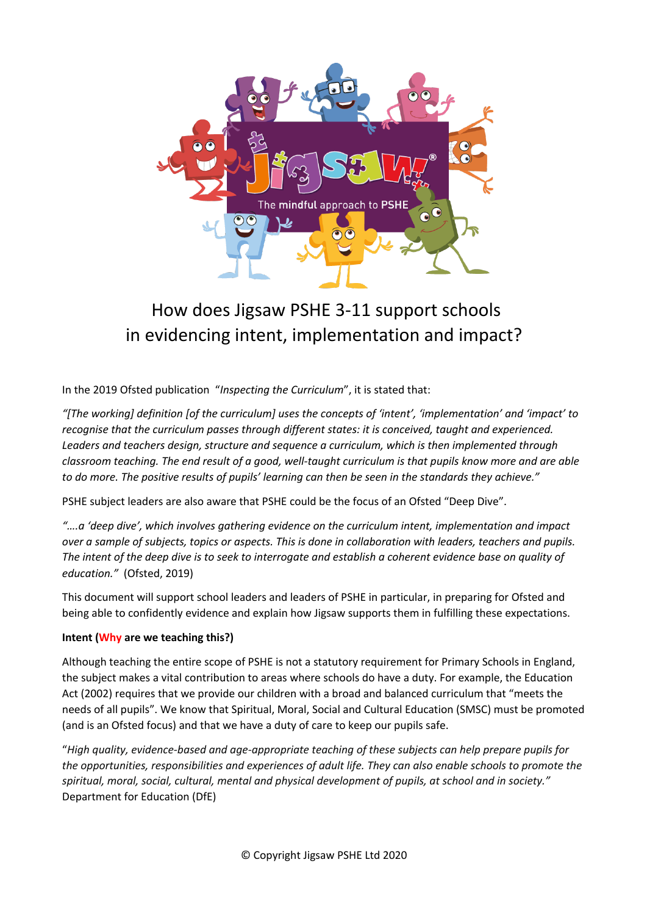

# How does Jigsaw PSHE 3-11 support schools in evidencing intent, implementation and impact?

In the 2019 Ofsted publication "*Inspecting the Curriculum*", it is stated that:

*"[The working] definition [of the curriculum] uses the concepts of 'intent', 'implementation' and 'impact' to recognise that the curriculum passes through different states: it is conceived, taught and experienced. Leaders and teachers design, structure and sequence a curriculum, which is then implemented through classroom teaching. The end result of a good, well-taught curriculum is that pupils know more and are able to do more. The positive results of pupils' learning can then be seen in the standards they achieve."*

PSHE subject leaders are also aware that PSHE could be the focus of an Ofsted "Deep Dive".

*"….a 'deep dive', which involves gathering evidence on the curriculum intent, implementation and impact over a sample of subjects, topics or aspects. This is done in collaboration with leaders, teachers and pupils. The intent of the deep dive is to seek to interrogate and establish a coherent evidence base on quality of education."* (Ofsted, 2019)

This document will support school leaders and leaders of PSHE in particular, in preparing for Ofsted and being able to confidently evidence and explain how Jigsaw supports them in fulfilling these expectations.

#### **Intent (Why are we teaching this?)**

Although teaching the entire scope of PSHE is not a statutory requirement for Primary Schools in England, the subject makes a vital contribution to areas where schools do have a duty. For example, the Education Act (2002) requires that we provide our children with a broad and balanced curriculum that "meets the needs of all pupils". We know that Spiritual, Moral, Social and Cultural Education (SMSC) must be promoted (and is an Ofsted focus) and that we have a duty of care to keep our pupils safe.

"*High quality, evidence-based and age-appropriate teaching of these subjects can help prepare pupils for the opportunities, responsibilities and experiences of adult life. They can also enable schools to promote the spiritual, moral, social, cultural, mental and physical development of pupils, at school and in society."*  Department for Education (DfE)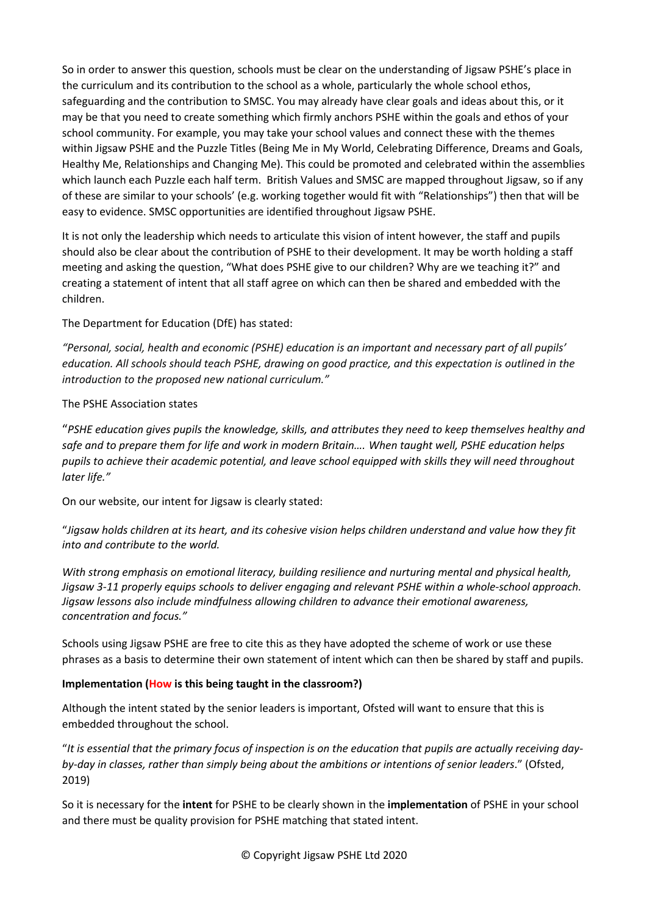So in order to answer this question, schools must be clear on the understanding of Jigsaw PSHE's place in the curriculum and its contribution to the school as a whole, particularly the whole school ethos, safeguarding and the contribution to SMSC. You may already have clear goals and ideas about this, or it may be that you need to create something which firmly anchors PSHE within the goals and ethos of your school community. For example, you may take your school values and connect these with the themes within Jigsaw PSHE and the Puzzle Titles (Being Me in My World, Celebrating Difference, Dreams and Goals, Healthy Me, Relationships and Changing Me). This could be promoted and celebrated within the assemblies which launch each Puzzle each half term. British Values and SMSC are mapped throughout Jigsaw, so if any of these are similar to your schools' (e.g. working together would fit with "Relationships") then that will be easy to evidence. SMSC opportunities are identified throughout Jigsaw PSHE.

It is not only the leadership which needs to articulate this vision of intent however, the staff and pupils should also be clear about the contribution of PSHE to their development. It may be worth holding a staff meeting and asking the question, "What does PSHE give to our children? Why are we teaching it?" and creating a statement of intent that all staff agree on which can then be shared and embedded with the children.

The Department for Education (DfE) has stated:

*"Personal, social, health and economic (PSHE) education is an important and necessary part of all pupils' education. All schools should teach PSHE, drawing on good practice, and this expectation is outlined in the introduction to the proposed new national curriculum."*

### The PSHE Association states

"*PSHE education gives pupils the knowledge, skills, and attributes they need to keep themselves healthy and safe and to prepare them for life and work in modern Britain…. When taught well, PSHE education helps pupils to achieve their academic potential, and leave school equipped with skills they will need throughout later life."*

On our website, our intent for Jigsaw is clearly stated:

"*Jigsaw holds children at its heart, and its cohesive vision helps children understand and value how they fit into and contribute to the world.*

*With strong emphasis on emotional literacy, building resilience and nurturing mental and physical health, Jigsaw 3-11 properly equips schools to deliver engaging and relevant PSHE within a whole-school approach. Jigsaw lessons also include mindfulness allowing children to advance their emotional awareness, concentration and focus."*

Schools using Jigsaw PSHE are free to cite this as they have adopted the scheme of work or use these phrases as a basis to determine their own statement of intent which can then be shared by staff and pupils.

## **Implementation (How is this being taught in the classroom?)**

Although the intent stated by the senior leaders is important, Ofsted will want to ensure that this is embedded throughout the school.

"*It is essential that the primary focus of inspection is on the education that pupils are actually receiving dayby-day in classes, rather than simply being about the ambitions or intentions of senior leaders*." (Ofsted, 2019)

So it is necessary for the **intent** for PSHE to be clearly shown in the **implementation** of PSHE in your school and there must be quality provision for PSHE matching that stated intent.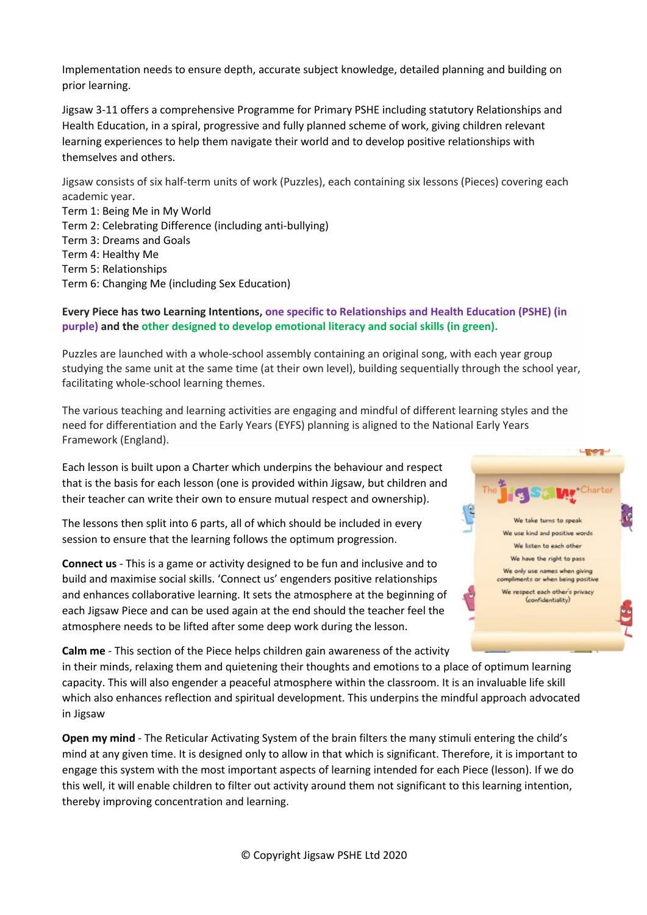Implementation needs to ensure depth, accurate subject knowledge, detailed planning and building on prior learning.

Jigsaw 3-11 offers a comprehensive Programme for Primary PSHE including statutory Relationships and Health Education, in a spiral, progressive and fully planned scheme of work, giving children relevant learning experiences to help them navigate their world and to develop positive relationships with themselves and others.

Jigsaw consists of six half-term units of work (Puzzles), each containing six lessons (Pieces) covering each academic year.

Term 1: Being Me in My World Term 2: Celebrating Difference (including anti-bullying) Term 3: Dreams and Goals Term 4: Healthy Me Term 5: Relationships Term 6: Changing Me (including Sex Education)

#### **Every Piece has two Learning Intentions, one specific to Relationships and Health Education (PSHE) (in purple) and the other designed to develop emotional literacy and social skills (in green).**

Puzzles are launched with a whole-school assembly containing an original song, with each year group studying the same unit at the same time (at their own level), building sequentially through the school year, facilitating whole-school learning themes.

The various teaching and learning activities are engaging and mindful of different learning styles and the need for differentiation and the Early Years (EYFS) planning is aligned to the National Early Years Framework (England).

Each lesson is built upon a Charter which underpins the behaviour and respect that is the basis for each lesson (one is provided within Jigsaw, but children and their teacher can write their own to ensure mutual respect and ownership).

The lessons then split into 6 parts, all of which should be included in every session to ensure that the learning follows the optimum progression.

**Connect us** - This is a game or activity designed to be fun and inclusive and to build and maximise social skills. 'Connect us' engenders positive relationships and enhances collaborative learning. It sets the atmosphere at the beginning of each Jigsaw Piece and can be used again at the end should the teacher feel the atmosphere needs to be lifted after some deep work during the lesson.



**Calm me** - This section of the Piece helps children gain awareness of the activity in their minds, relaxing them and quietening their thoughts and emotions to a place of optimum learning capacity. This will also engender a peaceful atmosphere within the classroom. It is an invaluable life skill which also enhances reflection and spiritual development. This underpins the mindful approach advocated in Jigsaw

**Open my mind** - The Reticular Activating System of the brain filters the many stimuli entering the child's mind at any given time. It is designed only to allow in that which is significant. Therefore, it is important to engage this system with the most important aspects of learning intended for each Piece (lesson). If we do this well, it will enable children to filter out activity around them not significant to this learning intention, thereby improving concentration and learning.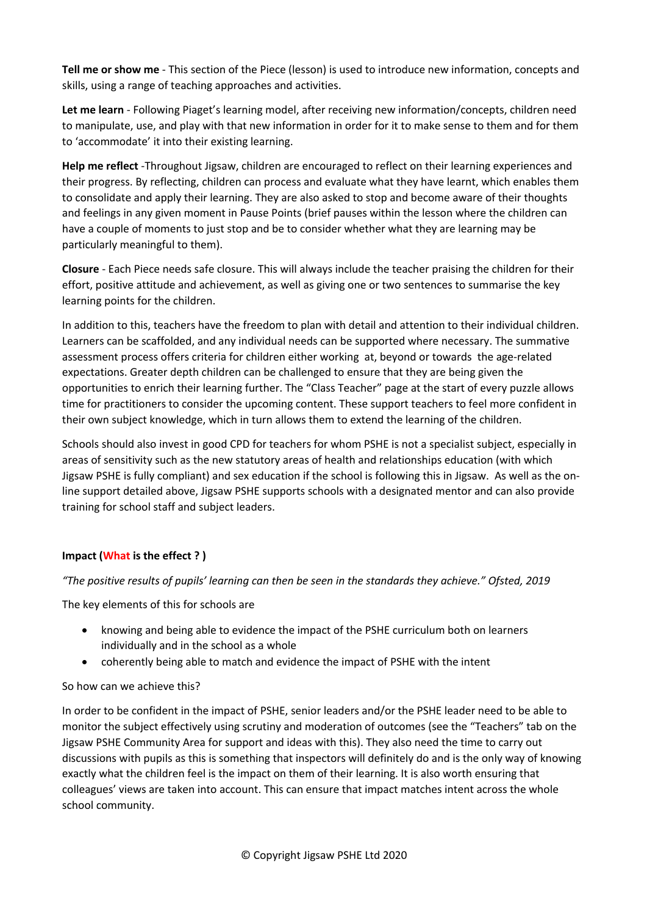**Tell me or show me** - This section of the Piece (lesson) is used to introduce new information, concepts and skills, using a range of teaching approaches and activities.

**Let me learn** - Following Piaget's learning model, after receiving new information/concepts, children need to manipulate, use, and play with that new information in order for it to make sense to them and for them to 'accommodate' it into their existing learning.

**Help me reflect** -Throughout Jigsaw, children are encouraged to reflect on their learning experiences and their progress. By reflecting, children can process and evaluate what they have learnt, which enables them to consolidate and apply their learning. They are also asked to stop and become aware of their thoughts and feelings in any given moment in Pause Points (brief pauses within the lesson where the children can have a couple of moments to just stop and be to consider whether what they are learning may be particularly meaningful to them).

**Closure** - Each Piece needs safe closure. This will always include the teacher praising the children for their effort, positive attitude and achievement, as well as giving one or two sentences to summarise the key learning points for the children.

In addition to this, teachers have the freedom to plan with detail and attention to their individual children. Learners can be scaffolded, and any individual needs can be supported where necessary. The summative assessment process offers criteria for children either working at, beyond or towards the age-related expectations. Greater depth children can be challenged to ensure that they are being given the opportunities to enrich their learning further. The "Class Teacher" page at the start of every puzzle allows time for practitioners to consider the upcoming content. These support teachers to feel more confident in their own subject knowledge, which in turn allows them to extend the learning of the children.

Schools should also invest in good CPD for teachers for whom PSHE is not a specialist subject, especially in areas of sensitivity such as the new statutory areas of health and relationships education (with which Jigsaw PSHE is fully compliant) and sex education if the school is following this in Jigsaw. As well as the online support detailed above, Jigsaw PSHE supports schools with a designated mentor and can also provide training for school staff and subject leaders.

#### **Impact (What is the effect ? )**

*"The positive results of pupils' learning can then be seen in the standards they achieve." Ofsted, 2019*

The key elements of this for schools are

- knowing and being able to evidence the impact of the PSHE curriculum both on learners individually and in the school as a whole
- coherently being able to match and evidence the impact of PSHE with the intent

So how can we achieve this?

In order to be confident in the impact of PSHE, senior leaders and/or the PSHE leader need to be able to monitor the subject effectively using scrutiny and moderation of outcomes (see the "Teachers" tab on the Jigsaw PSHE Community Area for support and ideas with this). They also need the time to carry out discussions with pupils as this is something that inspectors will definitely do and is the only way of knowing exactly what the children feel is the impact on them of their learning. It is also worth ensuring that colleagues' views are taken into account. This can ensure that impact matches intent across the whole school community.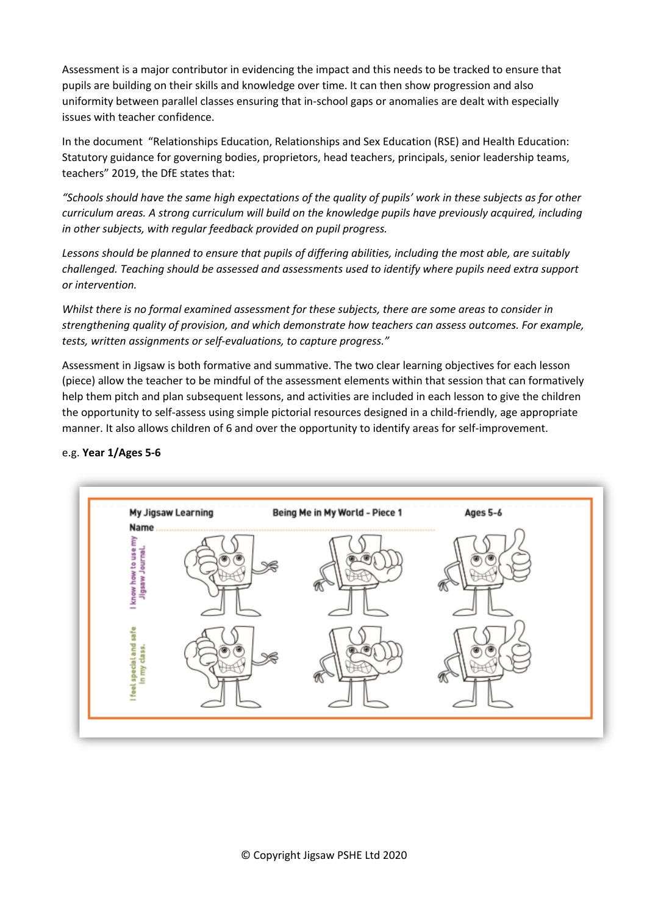Assessment is a major contributor in evidencing the impact and this needs to be tracked to ensure that pupils are building on their skills and knowledge over time. It can then show progression and also uniformity between parallel classes ensuring that in-school gaps or anomalies are dealt with especially issues with teacher confidence.

In the document "Relationships Education, Relationships and Sex Education (RSE) and Health Education: Statutory guidance for governing bodies, proprietors, head teachers, principals, senior leadership teams, teachers" 2019, the DfE states that:

*"Schools should have the same high expectations of the quality of pupils' work in these subjects as for other curriculum areas. A strong curriculum will build on the knowledge pupils have previously acquired, including in other subjects, with regular feedback provided on pupil progress.* 

*Lessons should be planned to ensure that pupils of differing abilities, including the most able, are suitably challenged. Teaching should be assessed and assessments used to identify where pupils need extra support or intervention.* 

*Whilst there is no formal examined assessment for these subjects, there are some areas to consider in strengthening quality of provision, and which demonstrate how teachers can assess outcomes. For example, tests, written assignments or self-evaluations, to capture progress."*

Assessment in Jigsaw is both formative and summative. The two clear learning objectives for each lesson (piece) allow the teacher to be mindful of the assessment elements within that session that can formatively help them pitch and plan subsequent lessons, and activities are included in each lesson to give the children the opportunity to self-assess using simple pictorial resources designed in a child-friendly, age appropriate manner. It also allows children of 6 and over the opportunity to identify areas for self-improvement.



#### e.g. **Year 1/Ages 5-6**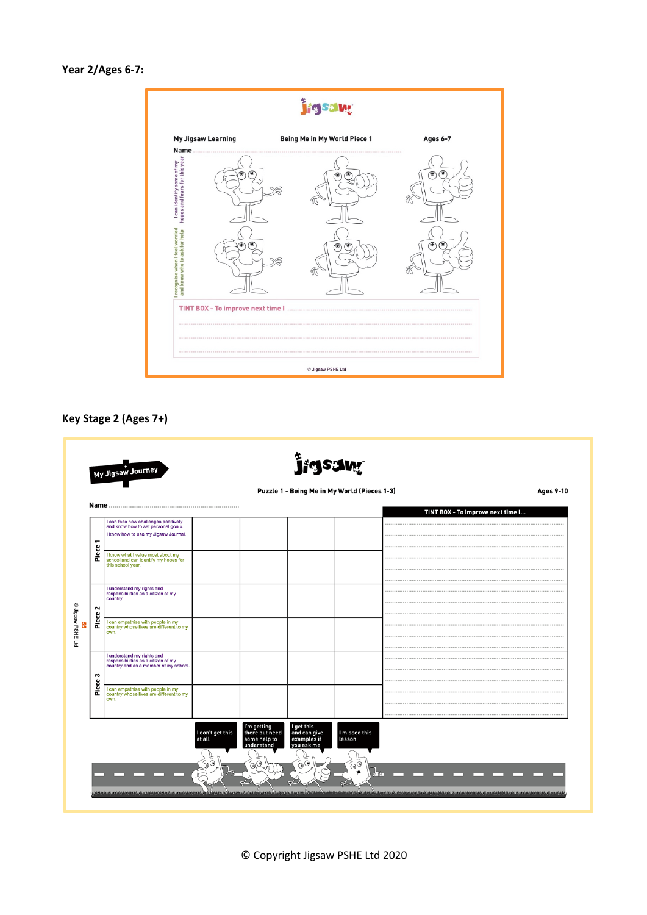

**Key Stage 2 (Ages 7+)**